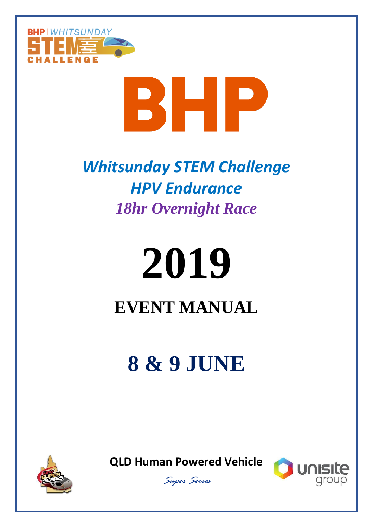

# BHP

## *Whitsunday STEM Challenge HPV Endurance 18hr Overnight Race*

# **2019 EVENT MANUAL**

# **8 & 9 JUNE**







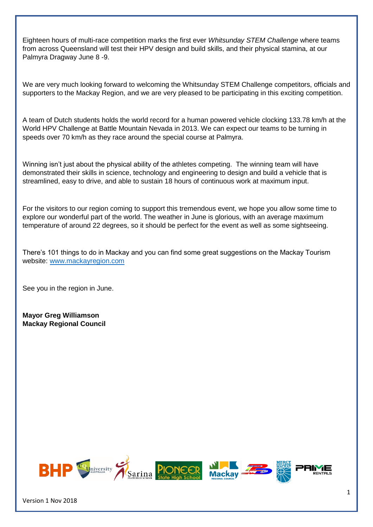Eighteen hours of multi-race competition marks the first ever *Whitsunday STEM Challenge* where teams from across Queensland will test their HPV design and build skills, and their physical stamina, at our Palmyra Dragway June 8 -9.

We are very much looking forward to welcoming the Whitsunday STEM Challenge competitors, officials and supporters to the Mackay Region, and we are very pleased to be participating in this exciting competition.

A team of Dutch students holds the world record for a human powered vehicle clocking 133.78 km/h at the World HPV Challenge at Battle Mountain Nevada in 2013. We can expect our teams to be turning in speeds over 70 km/h as they race around the special course at Palmyra.

Winning isn't just about the physical ability of the athletes competing. The winning team will have demonstrated their skills in science, technology and engineering to design and build a vehicle that is streamlined, easy to drive, and able to sustain 18 hours of continuous work at maximum input.

For the visitors to our region coming to support this tremendous event, we hope you allow some time to explore our wonderful part of the world. The weather in June is glorious, with an average maximum temperature of around 22 degrees, so it should be perfect for the event as well as some sightseeing.

There's 101 things to do in Mackay and you can find some great suggestions on the Mackay Tourism website: [www.mackayregion.com](http://www.mackayregion.com/)

See you in the region in June.

**Mayor Greg Williamson Mackay Regional Council**

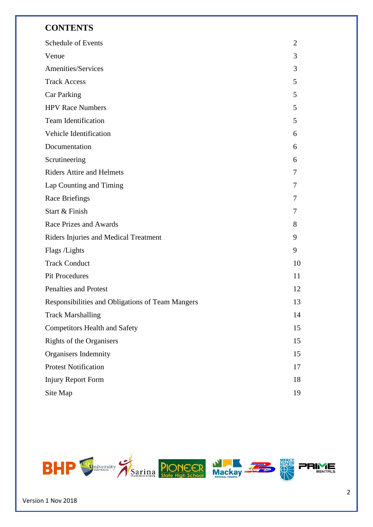#### **CONTENTS**

| Schedule of Events                               | 2  |
|--------------------------------------------------|----|
| Venue                                            | 3  |
| Amenities/Services                               | 3  |
| <b>Track Access</b>                              | 5  |
| Car Parking                                      | 5  |
| <b>HPV Race Numbers</b>                          | 5  |
| Team Identification                              | 5  |
| Vehicle Identification                           | 6  |
| Documentation                                    | 6  |
| Scrutineering                                    | 6  |
| <b>Riders Attire and Helmets</b>                 | 7  |
| Lap Counting and Timing                          | 7  |
| Race Briefings                                   | 7  |
| Start & Finish                                   | 7  |
| Race Prizes and Awards                           | 8  |
| Riders Injuries and Medical Treatment            | 9  |
| Flags /Lights                                    | 9  |
| <b>Track Conduct</b>                             | 10 |
| <b>Pit Procedures</b>                            | 11 |
| <b>Penalties and Protest</b>                     | 12 |
| Responsibilities and Obligations of Team Mangers | 13 |
| <b>Track Marshalling</b>                         | 14 |
| <b>Competitors Health and Safety</b>             | 15 |
| Rights of the Organisers                         | 15 |
| Organisers Indemnity                             | 15 |
| <b>Protest Notification</b>                      | 17 |
| <b>Injury Report Form</b>                        | 18 |
| Site Map                                         | 19 |

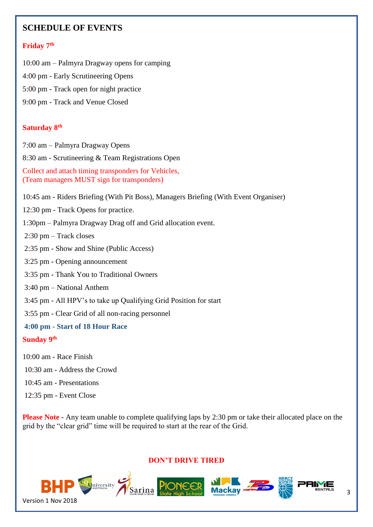#### **SCHEDULE OF EVENTS**

#### **Friday 7 th**

- 10:00 am Palmyra Dragway opens for camping
- 4:00 pm Early Scrutineering Opens
- 5:00 pm Track open for night practice
- 9:00 pm Track and Venue Closed

#### **Saturday 8 th**

7:00 am – Palmyra Dragway Opens

8:30 am - Scrutineering & Team Registrations Open

Collect and attach timing transponders for Vehicles, (Team managers MUST sign for transponders)

10:45 am - Riders Briefing (With Pit Boss), Managers Briefing (With Event Organiser)

12:30 pm - Track Opens for practice.

1:30pm – Palmyra Dragway Drag off and Grid allocation event.

2:30 pm – Track closes

- 2:35 pm Show and Shine (Public Access)
- 3:25 pm Opening announcement
- 3:35 pm Thank You to Traditional Owners
- 3:40 pm National Anthem
- 3:45 pm All HPV's to take up Qualifying Grid Position for start
- 3:55 pm Clear Grid of all non-racing personnel

#### **4:00 pm - Start of 18 Hour Race**

#### **Sunday 9 th**

- 10:00 am Race Finish
- 10:30 am Address the Crowd
- 10:45 am Presentations
- 12:35 pm Event Close

**Please Note** - Any team unable to complete qualifying laps by 2:30 pm or take their allocated place on the grid by the "clear grid" time will be required to start at the rear of the Grid.

#### **DON'T DRIVE TIRED**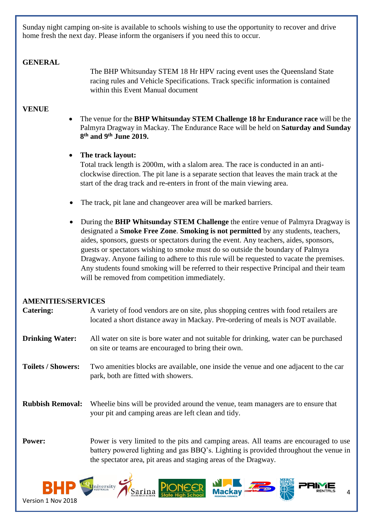Sunday night camping on-site is available to schools wishing to use the opportunity to recover and drive home fresh the next day. Please inform the organisers if you need this to occur.

#### **GENERAL**

The BHP Whitsunday STEM 18 Hr HPV racing event uses the Queensland State racing rules and Vehicle Specifications. Track specific information is contained within this Event Manual document

#### **VENUE**

• The venue for the **BHP Whitsunday STEM Challenge 18 hr Endurance race** will be the Palmyra Dragway in Mackay. The Endurance Race will be held on **Saturday and Sunday 8 th and 9th June 2019.**

#### • **The track layout:**

Total track length is 2000m, with a slalom area. The race is conducted in an anticlockwise direction. The pit lane is a separate section that leaves the main track at the start of the drag track and re-enters in front of the main viewing area.

- The track, pit lane and changeover area will be marked barriers.
- During the **BHP Whitsunday STEM Challenge** the entire venue of Palmyra Dragway is designated a **Smoke Free Zone**. **Smoking is not permitted** by any students, teachers, aides, sponsors, guests or spectators during the event. Any teachers, aides, sponsors, guests or spectators wishing to smoke must do so outside the boundary of Palmyra Dragway. Anyone failing to adhere to this rule will be requested to vacate the premises. Any students found smoking will be referred to their respective Principal and their team will be removed from competition immediately.

#### **AMENITIES/SERVICES**

| <b>Catering:</b>          | A variety of food vendors are on site, plus shopping centres with food retailers are<br>located a short distance away in Mackay. Pre-ordering of meals is NOT available.                                                                        |
|---------------------------|-------------------------------------------------------------------------------------------------------------------------------------------------------------------------------------------------------------------------------------------------|
| <b>Drinking Water:</b>    | All water on site is bore water and not suitable for drinking, water can be purchased<br>on site or teams are encouraged to bring their own.                                                                                                    |
| <b>Toilets / Showers:</b> | Two amenities blocks are available, one inside the venue and one adjacent to the car<br>park, both are fitted with showers.                                                                                                                     |
| <b>Rubbish Removal:</b>   | Wheelie bins will be provided around the venue, team managers are to ensure that<br>your pit and camping areas are left clean and tidy.                                                                                                         |
| Power:                    | Power is very limited to the pits and camping areas. All teams are encouraged to use<br>battery powered lighting and gas BBQ's. Lighting is provided throughout the venue in<br>the spectator area, pit areas and staging areas of the Dragway. |

Sarina<br>Sarina PIOD

4

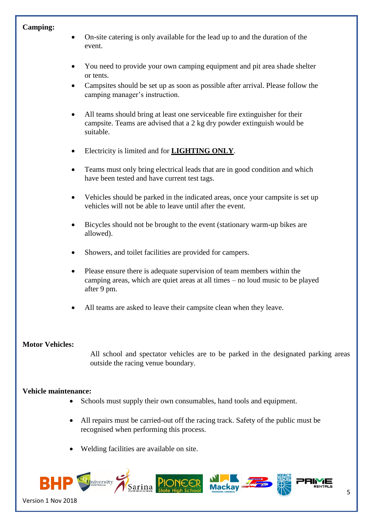#### **Camping:**

- On-site catering is only available for the lead up to and the duration of the event.
- You need to provide your own camping equipment and pit area shade shelter or tents.
- Campsites should be set up as soon as possible after arrival. Please follow the camping manager's instruction.
- All teams should bring at least one serviceable fire extinguisher for their campsite. Teams are advised that a 2 kg dry powder extinguish would be suitable.
- Electricity is limited and for **LIGHTING ONLY**.
- Teams must only bring electrical leads that are in good condition and which have been tested and have current test tags.
- Vehicles should be parked in the indicated areas, once your campsite is set up vehicles will not be able to leave until after the event.
- Bicycles should not be brought to the event (stationary warm-up bikes are allowed).
- Showers, and toilet facilities are provided for campers.
- Please ensure there is adequate supervision of team members within the camping areas, which are quiet areas at all times – no loud music to be played after 9 pm.
- All teams are asked to leave their campsite clean when they leave.

#### **Motor Vehicles:**

All school and spectator vehicles are to be parked in the designated parking areas outside the racing venue boundary.

#### **Vehicle maintenance:**

- Schools must supply their own consumables, hand tools and equipment.
- All repairs must be carried-out off the racing track. Safety of the public must be recognised when performing this process.
- Welding facilities are available on site.

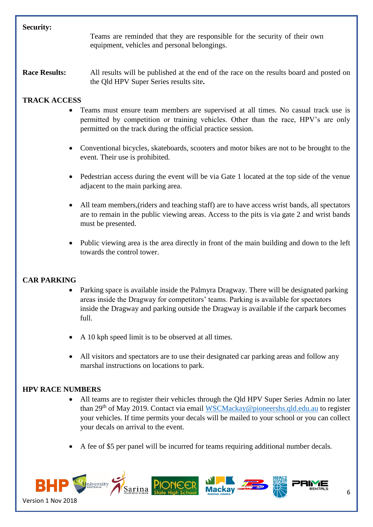#### **Security:**

Teams are reminded that they are responsible for the security of their own equipment, vehicles and personal belongings.

**Race Results:** All results will be published at the end of the race on the results board and posted on the Qld HPV Super Series results site**.**

#### **TRACK ACCESS**

- Teams must ensure team members are supervised at all times. No casual track use is permitted by competition or training vehicles. Other than the race, HPV's are only permitted on the track during the official practice session.
- Conventional bicycles, skateboards, scooters and motor bikes are not to be brought to the event. Their use is prohibited.
- Pedestrian access during the event will be via Gate 1 located at the top side of the venue adjacent to the main parking area.
- All team members,(riders and teaching staff) are to have access wrist bands, all spectators are to remain in the public viewing areas. Access to the pits is via gate 2 and wrist bands must be presented.
- Public viewing area is the area directly in front of the main building and down to the left towards the control tower.

#### **CAR PARKING**

- Parking space is available inside the Palmyra Dragway. There will be designated parking areas inside the Dragway for competitors' teams. Parking is available for spectators inside the Dragway and parking outside the Dragway is available if the carpark becomes full.
- A 10 kph speed limit is to be observed at all times.
- All visitors and spectators are to use their designated car parking areas and follow any marshal instructions on locations to park.

#### **HPV RACE NUMBERS**

- All teams are to register their vehicles through the Qld HPV Super Series Admin no later than 29th of May 2019. Contact via email [WSCMackay@pioneershs.qld.edu.au](mailto:WSCMackay@pioneershs.qld.edu.au) to register your vehicles. If time permits your decals will be mailed to your school or you can collect your decals on arrival to the event.
- A fee of \$5 per panel will be incurred for teams requiring additional number decals.

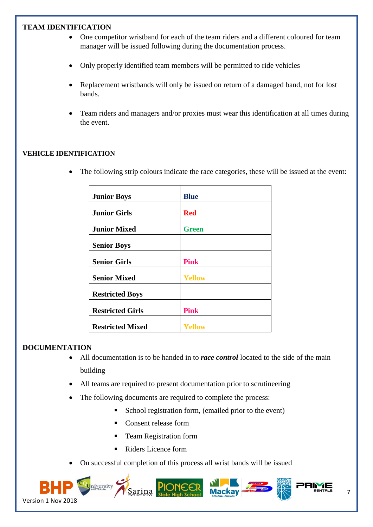#### **TEAM IDENTIFICATION**

- One competitor wristband for each of the team riders and a different coloured for team manager will be issued following during the documentation process.
- Only properly identified team members will be permitted to ride vehicles
- Replacement wristbands will only be issued on return of a damaged band, not for lost bands.
- Team riders and managers and/or proxies must wear this identification at all times during the event.

#### **VEHICLE IDENTIFICATION**

• The following strip colours indicate the race categories, these will be issued at the event:

| <b>Junior Boys</b>      | <b>Blue</b>   |
|-------------------------|---------------|
| <b>Junior Girls</b>     | <b>Red</b>    |
| <b>Junior Mixed</b>     | <b>Green</b>  |
| <b>Senior Boys</b>      |               |
| <b>Senior Girls</b>     | <b>Pink</b>   |
| <b>Senior Mixed</b>     | <b>Yellow</b> |
| <b>Restricted Boys</b>  |               |
| <b>Restricted Girls</b> | <b>Pink</b>   |
| <b>Restricted Mixed</b> | Yellow        |

#### **DOCUMENTATION**

- All documentation is to be handed in to *race control* located to the side of the main building
- All teams are required to present documentation prior to scrutineering
- The following documents are required to complete the process:
	- School registration form, (emailed prior to the event)
	- Consent release form
	- Team Registration form
		- Riders Licence form
- On successful completion of this process all wrist bands will be issued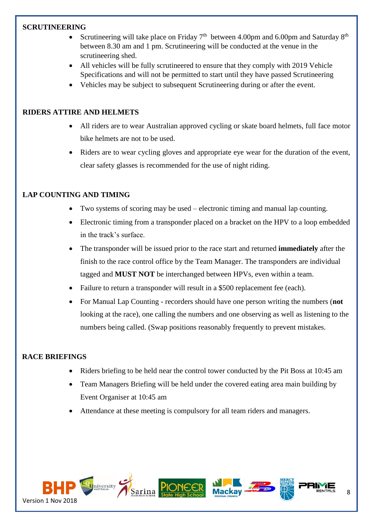#### **SCRUTINEERING**

- Scrutineering will take place on Friday  $7<sup>th</sup>$  between 4.00pm and 6.00pm and Saturday  $8<sup>th</sup>$ between 8.30 am and 1 pm. Scrutineering will be conducted at the venue in the scrutineering shed.
- All vehicles will be fully scrutineered to ensure that they comply with 2019 Vehicle Specifications and will not be permitted to start until they have passed Scrutineering
- Vehicles may be subject to subsequent Scrutineering during or after the event.

#### **RIDERS ATTIRE AND HELMETS**

- All riders are to wear Australian approved cycling or skate board helmets, full face motor bike helmets are not to be used.
- Riders are to wear cycling gloves and appropriate eye wear for the duration of the event, clear safety glasses is recommended for the use of night riding.

#### **LAP COUNTING AND TIMING**

- Two systems of scoring may be used electronic timing and manual lap counting.
- Electronic timing from a transponder placed on a bracket on the HPV to a loop embedded in the track's surface.
- The transponder will be issued prior to the race start and returned **immediately** after the finish to the race control office by the Team Manager. The transponders are individual tagged and **MUST NOT** be interchanged between HPVs, even within a team.
- Failure to return a transponder will result in a \$500 replacement fee (each).
- For Manual Lap Counting recorders should have one person writing the numbers (**not** looking at the race), one calling the numbers and one observing as well as listening to the numbers being called. (Swap positions reasonably frequently to prevent mistakes.

#### **RACE BRIEFINGS**

- Riders briefing to be held near the control tower conducted by the Pit Boss at 10:45 am
- Team Managers Briefing will be held under the covered eating area main building by Event Organiser at 10:45 am
- Attendance at these meeting is compulsory for all team riders and managers.

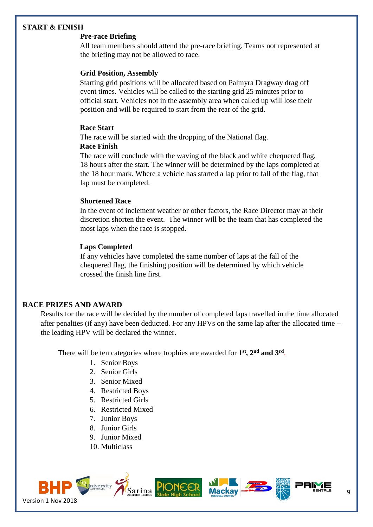#### **START & FINISH**

#### **Pre-race Briefing**

All team members should attend the pre-race briefing. Teams not represented at the briefing may not be allowed to race.

#### **Grid Position, Assembly**

Starting grid positions will be allocated based on Palmyra Dragway drag off event times. Vehicles will be called to the starting grid 25 minutes prior to official start. Vehicles not in the assembly area when called up will lose their position and will be required to start from the rear of the grid.

#### **Race Start**

The race will be started with the dropping of the National flag.

#### **Race Finish**

The race will conclude with the waving of the black and white chequered flag, 18 hours after the start. The winner will be determined by the laps completed at the 18 hour mark. Where a vehicle has started a lap prior to fall of the flag, that lap must be completed.

#### **Shortened Race**

In the event of inclement weather or other factors, the Race Director may at their discretion shorten the event. The winner will be the team that has completed the most laps when the race is stopped.

#### **Laps Completed**

If any vehicles have completed the same number of laps at the fall of the chequered flag, the finishing position will be determined by which vehicle crossed the finish line first.

#### **RACE PRIZES AND AWARD**

Results for the race will be decided by the number of completed laps travelled in the time allocated after penalties (if any) have been deducted. For any HPVs on the same lap after the allocated time – the leading HPV will be declared the winner.

There will be ten categories where trophies are awarded for **1 st, 2nd and 3rd** .

- 1. Senior Boys
- 2. Senior Girls
- 3. Senior Mixed
- 4. Restricted Boys
- 5. Restricted Girls
- 6. Restricted Mixed
- 7. Junior Boys
- 8. Junior Girls
- 9. Junior Mixed
- 10. Multiclass

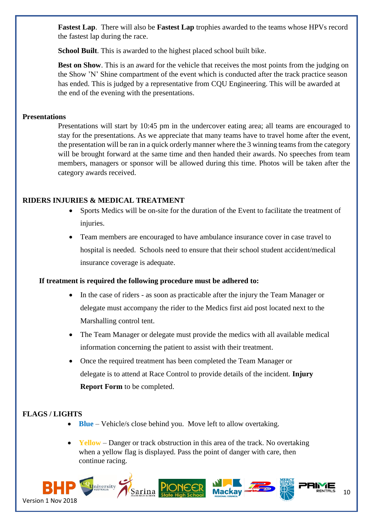**Fastest Lap**. There will also be **Fastest Lap** trophies awarded to the teams whose HPVs record the fastest lap during the race.

**School Built**. This is awarded to the highest placed school built bike.

**Best on Show.** This is an award for the vehicle that receives the most points from the judging on the Show 'N' Shine compartment of the event which is conducted after the track practice season has ended. This is judged by a representative from CQU Engineering. This will be awarded at the end of the evening with the presentations.

#### **Presentations**

Presentations will start by 10:45 pm in the undercover eating area; all teams are encouraged to stay for the presentations. As we appreciate that many teams have to travel home after the event, the presentation will be ran in a quick orderly manner where the 3 winning teams from the category will be brought forward at the same time and then handed their awards. No speeches from team members, managers or sponsor will be allowed during this time. Photos will be taken after the category awards received.

#### **RIDERS INJURIES & MEDICAL TREATMENT**

- Sports Medics will be on-site for the duration of the Event to facilitate the treatment of injuries.
- Team members are encouraged to have ambulance insurance cover in case travel to hospital is needed. Schools need to ensure that their school student accident/medical insurance coverage is adequate.

#### **If treatment is required the following procedure must be adhered to:**

- In the case of riders as soon as practicable after the injury the Team Manager or delegate must accompany the rider to the Medics first aid post located next to the Marshalling control tent.
- The Team Manager or delegate must provide the medics with all available medical information concerning the patient to assist with their treatment.
- Once the required treatment has been completed the Team Manager or delegate is to attend at Race Control to provide details of the incident. **Injury Report Form** to be completed.

#### **FLAGS / LIGHTS**

- **Blue**  Vehicle/s close behind you. Move left to allow overtaking.
- **Yellow** Danger or track obstruction in this area of the track. No overtaking when a yellow flag is displayed. Pass the point of danger with care, then continue racing.

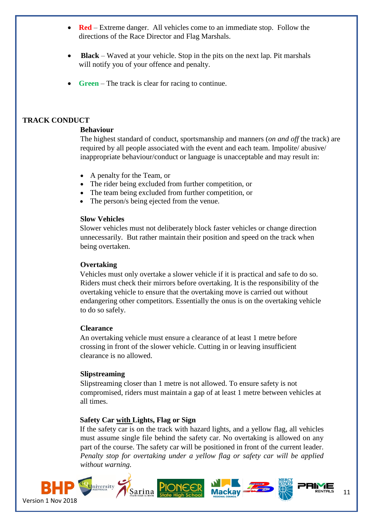- **Red** Extreme danger. All vehicles come to an immediate stop. Follow the directions of the Race Director and Flag Marshals.
- **Black** Waved at your vehicle. Stop in the pits on the next lap. Pit marshals will notify you of your offence and penalty.
- **Green** The track is clear for racing to continue.

#### **TRACK CONDUCT**

#### **Behaviour**

The highest standard of conduct, sportsmanship and manners (*on and off* the track) are required by all people associated with the event and each team. Impolite/ abusive/ inappropriate behaviour/conduct or language is unacceptable and may result in:

- A penalty for the Team, or
- The rider being excluded from further competition, or
- The team being excluded from further competition, or
- The person/s being ejected from the venue.

#### **Slow Vehicles**

Slower vehicles must not deliberately block faster vehicles or change direction unnecessarily. But rather maintain their position and speed on the track when being overtaken.

#### **Overtaking**

Vehicles must only overtake a slower vehicle if it is practical and safe to do so. Riders must check their mirrors before overtaking. It is the responsibility of the overtaking vehicle to ensure that the overtaking move is carried out without endangering other competitors. Essentially the onus is on the overtaking vehicle to do so safely.

#### **Clearance**

An overtaking vehicle must ensure a clearance of at least 1 metre before crossing in front of the slower vehicle. Cutting in or leaving insufficient clearance is no allowed.

#### **Slipstreaming**

Slipstreaming closer than 1 metre is not allowed. To ensure safety is not compromised, riders must maintain a gap of at least 1 metre between vehicles at all times.

#### **Safety Car with Lights, Flag or Sign**

If the safety car is on the track with hazard lights, and a yellow flag, all vehicles must assume single file behind the safety car. No overtaking is allowed on any part of the course. The safety car will be positioned in front of the current leader. *Penalty stop for overtaking under a yellow flag or safety car will be applied without warning.*

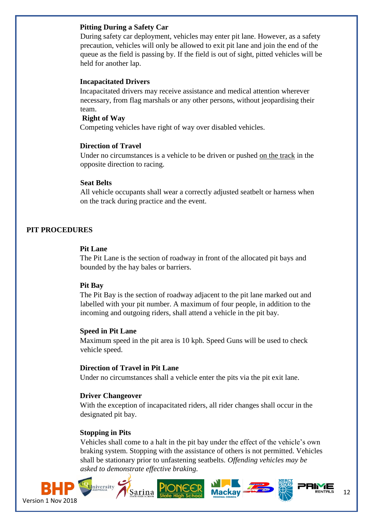#### **Pitting During a Safety Car**

During safety car deployment, vehicles may enter pit lane. However, as a safety precaution, vehicles will only be allowed to exit pit lane and join the end of the queue as the field is passing by. If the field is out of sight, pitted vehicles will be held for another lap.

#### **Incapacitated Drivers**

Incapacitated drivers may receive assistance and medical attention wherever necessary, from flag marshals or any other persons, without jeopardising their team.

#### **Right of Way**

Competing vehicles have right of way over disabled vehicles.

#### **Direction of Travel**

Under no circumstances is a vehicle to be driven or pushed on the track in the opposite direction to racing.

#### **Seat Belts**

 All vehicle occupants shall wear a correctly adjusted seatbelt or harness when on the track during practice and the event.

#### **PIT PROCEDURES**

#### **Pit Lane**

The Pit Lane is the section of roadway in front of the allocated pit bays and bounded by the hay bales or barriers.

#### **Pit Bay**

The Pit Bay is the section of roadway adjacent to the pit lane marked out and labelled with your pit number. A maximum of four people, in addition to the incoming and outgoing riders, shall attend a vehicle in the pit bay.

#### **Speed in Pit Lane**

Maximum speed in the pit area is 10 kph. Speed Guns will be used to check vehicle speed.

#### **Direction of Travel in Pit Lane**

Under no circumstances shall a vehicle enter the pits via the pit exit lane.

#### **Driver Changeover**

With the exception of incapacitated riders, all rider changes shall occur in the designated pit bay.

#### **Stopping in Pits**

Vehicles shall come to a halt in the pit bay under the effect of the vehicle's own braking system. Stopping with the assistance of others is not permitted. Vehicles shall be stationary prior to unfastening seatbelts. *Offending vehicles may be asked to demonstrate effective braking.* 



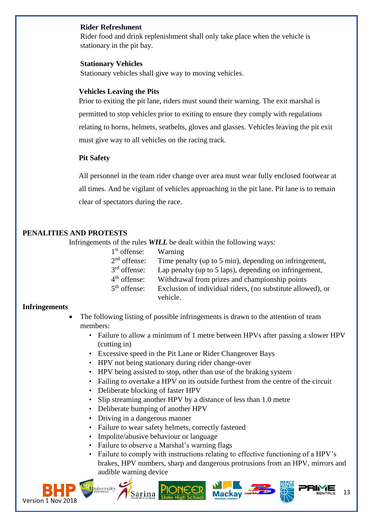#### **Rider Refreshment**

Rider food and drink replenishment shall only take place when the vehicle is stationary in the pit bay.

#### **Stationary Vehicles**

Stationary vehicles shall give way to moving vehicles.

#### **Vehicles Leaving the Pits**

Prior to exiting the pit lane, riders must sound their warning. The exit marshal is permitted to stop vehicles prior to exiting to ensure they comply with regulations relating to horns, helmets, seatbelts, gloves and glasses. Vehicles leaving the pit exit must give way to all vehicles on the racing track.

#### **Pit Safety**

All personnel in the team rider change over area must wear fully enclosed footwear at all times. And be vigilant of vehicles approaching in the pit lane. Pit lane is to remain clear of spectators during the race.

#### **PENALITIES AND PROTESTS**

Infringements of the rules *WILL* be dealt within the following ways:

| $1st$ offense: | Warning                                                     |
|----------------|-------------------------------------------------------------|
| $2nd$ offense: | Time penalty (up to 5 min), depending on infringement,      |
| $3rd$ offense: | Lap penalty (up to 5 laps), depending on infringement,      |
| $4th$ offense: | Withdrawal from prizes and championship points              |
| $5th$ offense: | Exclusion of individual riders, (no substitute allowed), or |
|                | vehicle.                                                    |

#### **Infringements**

- The following listing of possible infringements is drawn to the attention of team members:
	- Failure to allow a minimum of 1 metre between HPVs after passing a slower HPV (cutting in)
	- Excessive speed in the Pit Lane or Rider Changeover Bays
	- HPV not being stationary during rider change-over
	- HPV being assisted to stop, other than use of the braking system
	- Failing to overtake a HPV on its outside furthest from the centre of the circuit
	- Deliberate blocking of faster HPV
	- Slip streaming another HPV by a distance of less than 1.0 metre
	- Deliberate bumping of another HPV
	- Driving in a dangerous manner
	- Failure to wear safety helmets, correctly fastened
	- Impolite/abusive behaviour or language
	- Failure to observe a Marshal's warning flags
	- Failure to comply with instructions relating to effective functioning of a HPV's brakes, HPV numbers, sharp and dangerous protrusions from an HPV, mirrors and audible warning device

13



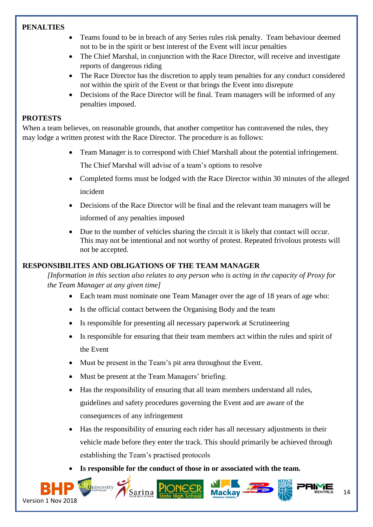#### **PENALTIES**

- Teams found to be in breach of any Series rules risk penalty. Team behaviour deemed not to be in the spirit or best interest of the Event will incur penalties
- The Chief Marshal, in conjunction with the Race Director, will receive and investigate reports of dangerous riding
- The Race Director has the discretion to apply team penalties for any conduct considered not within the spirit of the Event or that brings the Event into disrepute
- Decisions of the Race Director will be final. Team managers will be informed of any penalties imposed.

#### **PROTESTS**

When a team believes, on reasonable grounds, that another competitor has contravened the rules, they may lodge a written protest with the Race Director. The procedure is as follows:

- Team Manager is to correspond with Chief Marshall about the potential infringement. The Chief Marshal will advise of a team's options to resolve
- Completed forms must be lodged with the Race Director within 30 minutes of the alleged incident
- Decisions of the Race Director will be final and the relevant team managers will be informed of any penalties imposed
- Due to the number of vehicles sharing the circuit it is likely that contact will occur. This may not be intentional and not worthy of protest. Repeated frivolous protests will not be accepted.

#### **RESPONSIBILITES AND OBLIGATIONS OF THE TEAM MANAGER**

*[Information in this section also relates to any person who is acting in the capacity of Proxy for the Team Manager at any given time]* 

- Each team must nominate one Team Manager over the age of 18 years of age who:
- Is the official contact between the Organising Body and the team
- Is responsible for presenting all necessary paperwork at Scrutineering
- Is responsible for ensuring that their team members act within the rules and spirit of the Event
- Must be present in the Team's pit area throughout the Event.
- Must be present at the Team Managers' briefing.
- Has the responsibility of ensuring that all team members understand all rules, guidelines and safety procedures governing the Event and are aware of the consequences of any infringement
- Has the responsibility of ensuring each rider has all necessary adjustments in their vehicle made before they enter the track. This should primarily be achieved through establishing the Team's practised protocols
- Is responsible for the conduct of those in or associated with the team.

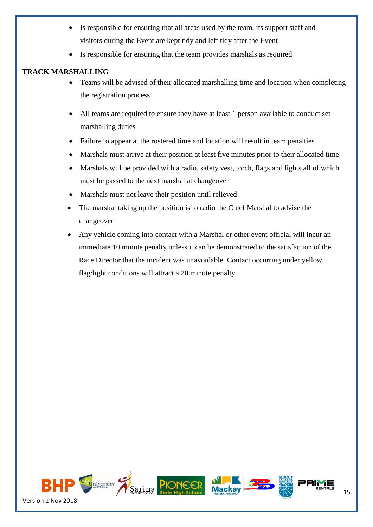- Is responsible for ensuring that all areas used by the team, its support staff and visitors during the Event are kept tidy and left tidy after the Event
- Is responsible for ensuring that the team provides marshals as required

#### **TRACK MARSHALLING**

- Teams will be advised of their allocated marshalling time and location when completing the registration process
- All teams are required to ensure they have at least 1 person available to conduct set marshalling duties
- Failure to appear at the rostered time and location will result in team penalties
- Marshals must arrive at their position at least five minutes prior to their allocated time
- Marshals will be provided with a radio, safety vest, torch, flags and lights all of which must be passed to the next marshal at changeover
- Marshals must not leave their position until relieved
- The marshal taking up the position is to radio the Chief Marshal to advise the changeover
- Any vehicle coming into contact with a Marshal or other event official will incur an immediate 10 minute penalty unless it can be demonstrated to the satisfaction of the Race Director that the incident was unavoidable. Contact occurring under yellow flag/light conditions will attract a 20 minute penalty.

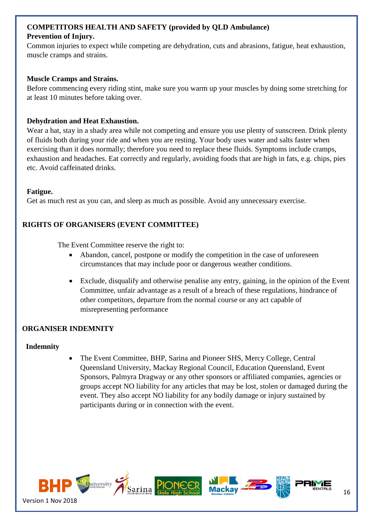#### **COMPETITORS HEALTH AND SAFETY (provided by QLD Ambulance) Prevention of Injury.**

Common injuries to expect while competing are dehydration, cuts and abrasions, fatigue, heat exhaustion, muscle cramps and strains.

#### **Muscle Cramps and Strains.**

Before commencing every riding stint, make sure you warm up your muscles by doing some stretching for at least 10 minutes before taking over.

#### **Dehydration and Heat Exhaustion.**

Wear a hat, stay in a shady area while not competing and ensure you use plenty of sunscreen. Drink plenty of fluids both during your ride and when you are resting. Your body uses water and salts faster when exercising than it does normally; therefore you need to replace these fluids. Symptoms include cramps, exhaustion and headaches. Eat correctly and regularly, avoiding foods that are high in fats, e.g. chips, pies etc. Avoid caffeinated drinks.

#### **Fatigue.**

Get as much rest as you can, and sleep as much as possible. Avoid any unnecessary exercise.

#### **RIGHTS OF ORGANISERS (EVENT COMMITTEE)**

The Event Committee reserve the right to:

- Abandon, cancel, postpone or modify the competition in the case of unforeseen circumstances that may include poor or dangerous weather conditions.
- Exclude, disqualify and otherwise penalise any entry, gaining, in the opinion of the Event Committee, unfair advantage as a result of a breach of these regulations, hindrance of other competitors, departure from the normal course or any act capable of misrepresenting performance

#### **ORGANISER INDEMNITY**

#### **Indemnity**

• The Event Committee, BHP, Sarina and Pioneer SHS, Mercy College, Central Queensland University, Mackay Regional Council, Education Queensland, Event Sponsors, Palmyra Dragway or any other sponsors or affiliated companies, agencies or groups accept NO liability for any articles that may be lost, stolen or damaged during the event. They also accept NO liability for any bodily damage or injury sustained by participants during or in connection with the event.

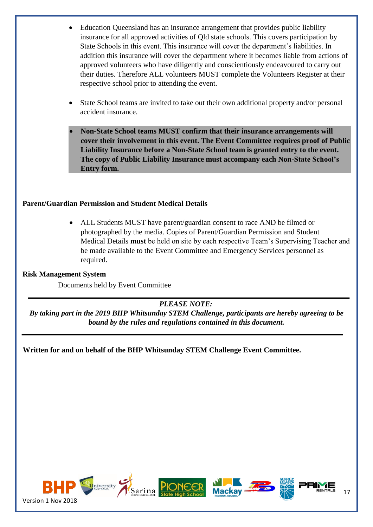- Education Queensland has an insurance arrangement that provides public liability insurance for all approved activities of Qld state schools. This covers participation by State Schools in this event. This insurance will cover the department's liabilities. In addition this insurance will cover the department where it becomes liable from actions of approved volunteers who have diligently and conscientiously endeavoured to carry out their duties. Therefore ALL volunteers MUST complete the Volunteers Register at their respective school prior to attending the event.
- State School teams are invited to take out their own additional property and/or personal accident insurance.
- **Non-State School teams MUST confirm that their insurance arrangements will cover their involvement in this event. The Event Committee requires proof of Public Liability Insurance before a Non-State School team is granted entry to the event. The copy of Public Liability Insurance must accompany each Non-State School's Entry form.**

#### **Parent/Guardian Permission and Student Medical Details**

• ALL Students MUST have parent/guardian consent to race AND be filmed or photographed by the media. Copies of Parent/Guardian Permission and Student Medical Details **must** be held on site by each respective Team's Supervising Teacher and be made available to the Event Committee and Emergency Services personnel as required.

#### **Risk Management System**

Documents held by Event Committee

#### *PLEASE NOTE:*

*By taking part in the 2019 BHP Whitsunday STEM Challenge, participants are hereby agreeing to be bound by the rules and regulations contained in this document.* 

**Written for and on behalf of the BHP Whitsunday STEM Challenge Event Committee.**

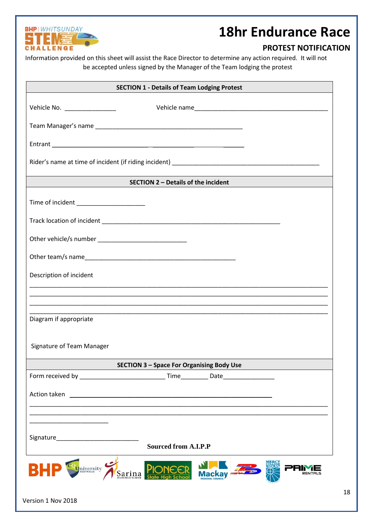

Version 1 Nov 2018

### **18hr Endurance Race**

#### **PROTEST NOTIFICATION**

Information provided on this sheet will assist the Race Director to determine any action required. It will not be accepted unless signed by the Manager of the Team lodging the protest

| <b>SECTION 1 - Details of Team Lodging Protest</b>                                                                                   |  |  |  |  |  |
|--------------------------------------------------------------------------------------------------------------------------------------|--|--|--|--|--|
| Vehicle No. __________________                                                                                                       |  |  |  |  |  |
|                                                                                                                                      |  |  |  |  |  |
|                                                                                                                                      |  |  |  |  |  |
|                                                                                                                                      |  |  |  |  |  |
| SECTION 2 - Details of the incident                                                                                                  |  |  |  |  |  |
| Time of incident _______________________                                                                                             |  |  |  |  |  |
|                                                                                                                                      |  |  |  |  |  |
|                                                                                                                                      |  |  |  |  |  |
|                                                                                                                                      |  |  |  |  |  |
| Description of incident                                                                                                              |  |  |  |  |  |
|                                                                                                                                      |  |  |  |  |  |
| Diagram if appropriate                                                                                                               |  |  |  |  |  |
| Signature of Team Manager                                                                                                            |  |  |  |  |  |
| <b>SECTION 3 - Space For Organising Body Use</b>                                                                                     |  |  |  |  |  |
|                                                                                                                                      |  |  |  |  |  |
| Action taken<br><u> 1980 - Jan Samuel Barbara, martin din shekara 1980 - André Samuel Barbara, mashrida a shekara 1980 - André S</u> |  |  |  |  |  |
|                                                                                                                                      |  |  |  |  |  |
| <b>Sourced from A.I.P.P</b>                                                                                                          |  |  |  |  |  |
| <b>BHF</b><br>University<br>Sarina                                                                                                   |  |  |  |  |  |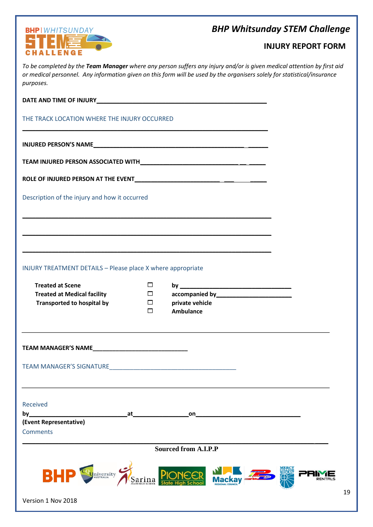#### *BHP Whitsunday STEM Challenge*



Version 1 Nov 2018

#### **INJURY REPORT FORM**

*To be completed by the Team Manager where any person suffers any injury and/or is given medical attention by first aid or medical personnel. Any information given on this form will be used by the organisers solely for statistical/insurance purposes.* 

| THE TRACK LOCATION WHERE THE INJURY OCCURRED                                                                                                                                                                                       |                                      |                                                                                                                      |  |  |  |
|------------------------------------------------------------------------------------------------------------------------------------------------------------------------------------------------------------------------------------|--------------------------------------|----------------------------------------------------------------------------------------------------------------------|--|--|--|
|                                                                                                                                                                                                                                    |                                      |                                                                                                                      |  |  |  |
|                                                                                                                                                                                                                                    |                                      |                                                                                                                      |  |  |  |
|                                                                                                                                                                                                                                    |                                      |                                                                                                                      |  |  |  |
| Description of the injury and how it occurred                                                                                                                                                                                      |                                      |                                                                                                                      |  |  |  |
|                                                                                                                                                                                                                                    |                                      |                                                                                                                      |  |  |  |
| INJURY TREATMENT DETAILS - Please place X where appropriate                                                                                                                                                                        |                                      |                                                                                                                      |  |  |  |
| <b>Treated at Scene</b><br><b>Treated at Medical facility</b><br><b>Transported to hospital by</b>                                                                                                                                 | $\Box$<br>$\Box$<br>$\Box$<br>$\Box$ | private vehicle<br>Ambulance                                                                                         |  |  |  |
| <b>TEAM MANAGER'S NAME EXAMPLE AND THE SERVICE OF A STATE OF A STATE OF A STATE OF A STATE OF A STATE OF A STATE OF A STATE OF A STATE OF A STATE OF A STATE OF A STATE OF A STATE OF A STATE OF A STATE OF A STATE OF A STATE</b> |                                      | <u> 1989 - Andrea Santa Andrea Santa Andrea Santa Andrea Santa Andrea Santa Andrea Santa Andrea Santa Andrea San</u> |  |  |  |
|                                                                                                                                                                                                                                    |                                      |                                                                                                                      |  |  |  |
| Received<br>by___<br>at<br>(Event Representative)<br><b>Comments</b>                                                                                                                                                               |                                      | on                                                                                                                   |  |  |  |
| <b>Sourced from A.I.P.P</b>                                                                                                                                                                                                        |                                      |                                                                                                                      |  |  |  |
| <b>BHF</b><br><b>Q</b> niversity                                                                                                                                                                                                   |                                      |                                                                                                                      |  |  |  |